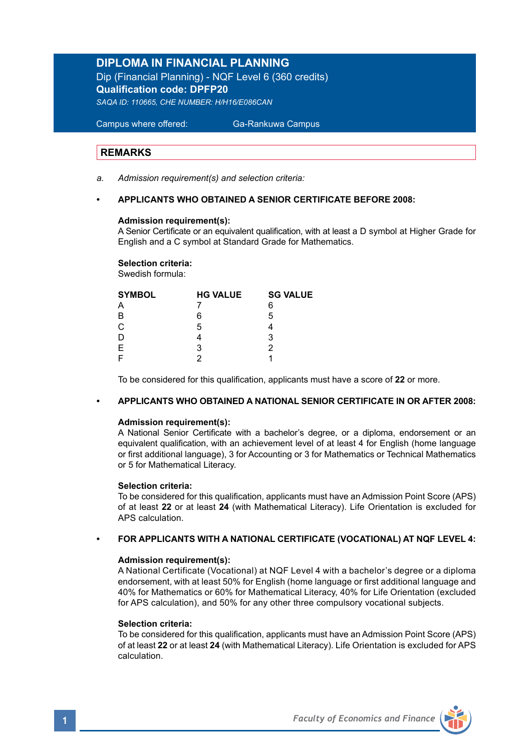## **DIPLOMA IN FINANCIAL PLANNING**

Dip (Financial Planning) - NQF Level 6 (360 credits) **Qualification code: DPFP20**  *SAQA ID: 110665, CHE NUMBER: H/H16/E086CAN*

 Campus where offered: Ga-Rankuwa Campus

### **REMARKS**

*a. Admission requirement(s) and selection criteria:* 

## **• APPLICANTS WHO OBTAINED A SENIOR CERTIFICATE BEFORE 2008:**

### **Admission requirement(s):**

A Senior Certificate or an equivalent qualification, with at least a D symbol at Higher Grade for English and a C symbol at Standard Grade for Mathematics.

#### **Selection criteria:**

Swedish formula:

| <b>SYMBOL</b> | <b>HG VALUE</b> | <b>SG VALUE</b> |
|---------------|-----------------|-----------------|
|               |                 | 6               |
| B             | 6               | 5               |
| $\mathbf C$   | 5               |                 |
| D             |                 | 3               |
| $\mathsf E$   | 3               | 2               |
|               |                 |                 |

To be considered for this qualification, applicants must have a score of **22** or more.

#### **• APPLICANTS WHO OBTAINED A NATIONAL SENIOR CERTIFICATE IN OR AFTER 2008:**

### **Admission requirement(s):**

A National Senior Certificate with a bachelor's degree, or a diploma, endorsement or an equivalent qualification, with an achievement level of at least 4 for English (home language or first additional language), 3 for Accounting or 3 for Mathematics or Technical Mathematics or 5 for Mathematical Literacy.

#### **Selection criteria:**

To be considered for this qualification, applicants must have an Admission Point Score (APS) of at least **22** or at least **24** (with Mathematical Literacy). Life Orientation is excluded for APS calculation.

#### **• FOR APPLICANTS WITH A NATIONAL CERTIFICATE (VOCATIONAL) AT NQF LEVEL 4:**

#### **Admission requirement(s):**

A National Certificate (Vocational) at NQF Level 4 with a bachelor's degree or a diploma endorsement, with at least 50% for English (home language or first additional language and 40% for Mathematics or 60% for Mathematical Literacy, 40% for Life Orientation (excluded for APS calculation), and 50% for any other three compulsory vocational subjects.

#### **Selection criteria:**

To be considered for this qualification, applicants must have an Admission Point Score (APS) of at least **22** or at least **24** (with Mathematical Literacy). Life Orientation is excluded for APS calculation.

**1** *Faculty of Economics and Finance*

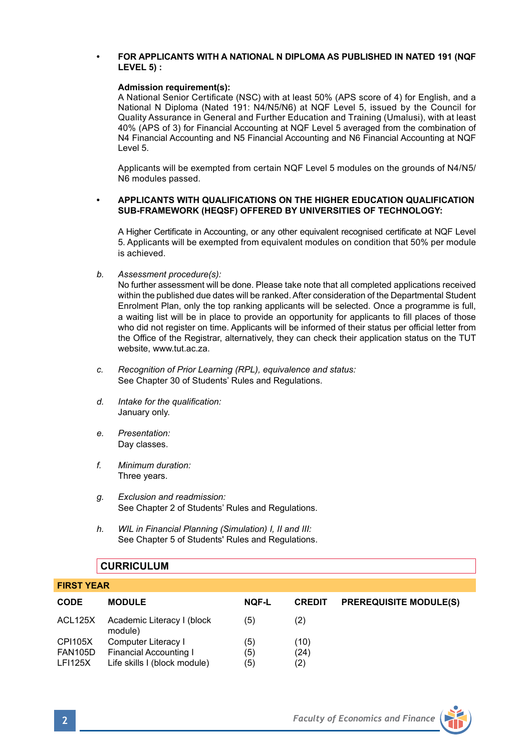## **• FOR APPLICANTS WITH A NATIONAL N DIPLOMA AS PUBLISHED IN NATED 191 (NQF LEVEL 5) :**

### **Admission requirement(s):**

A National Senior Certificate (NSC) with at least 50% (APS score of 4) for English, and a National N Diploma (Nated 191: N4/N5/N6) at NQF Level 5, issued by the Council for Quality Assurance in General and Further Education and Training (Umalusi), with at least 40% (APS of 3) for Financial Accounting at NQF Level 5 averaged from the combination of N4 Financial Accounting and N5 Financial Accounting and N6 Financial Accounting at NQF Level 5.

Applicants will be exempted from certain NQF Level 5 modules on the grounds of N4/N5/ N6 modules passed.

## **• APPLICANTS WITH QUALIFICATIONS ON THE HIGHER EDUCATION QUALIFICATION SUB-FRAMEWORK (HEQSF) OFFERED BY UNIVERSITIES OF TECHNOLOGY:**

A Higher Certificate in Accounting, or any other equivalent recognised certificate at NQF Level 5. Applicants will be exempted from equivalent modules on condition that 50% per module is achieved.

*b. Assessment procedure(s):*

No further assessment will be done. Please take note that all completed applications received within the published due dates will be ranked. After consideration of the Departmental Student Enrolment Plan, only the top ranking applicants will be selected. Once a programme is full, a waiting list will be in place to provide an opportunity for applicants to fill places of those who did not register on time. Applicants will be informed of their status per official letter from the Office of the Registrar, alternatively, they can check their application status on the TUT website, www.tut.ac.za.

- *c. Recognition of Prior Learning (RPL), equivalence and status:* See Chapter 30 of Students' Rules and Regulations.
- *d. Intake for the qualification:* January only.
- *e. Presentation:* Day classes.
- *f. Minimum duration:* Three years.
- *g. Exclusion and readmission:* See Chapter 2 of Students' Rules and Regulations.
- *h. WIL in Financial Planning (Simulation) I, II and III:* See Chapter 5 of Students' Rules and Regulations.

## **CURRICULUM**

| .              |                                       |              |               |                               |  |
|----------------|---------------------------------------|--------------|---------------|-------------------------------|--|
| <b>CODE</b>    | <b>MODULE</b>                         | <b>NQF-L</b> | <b>CREDIT</b> | <b>PREREQUISITE MODULE(S)</b> |  |
| ACL125X        | Academic Literacy I (block<br>module) | (5)          | (2)           |                               |  |
| <b>CPI105X</b> | Computer Literacy I                   | (5)          | (10)          |                               |  |
| FAN105D        | Financial Accounting I                | (5)          | (24)          |                               |  |
| <b>LFI125X</b> | Life skills I (block module)          | (5)          | (2)           |                               |  |



**FIRST YEAR**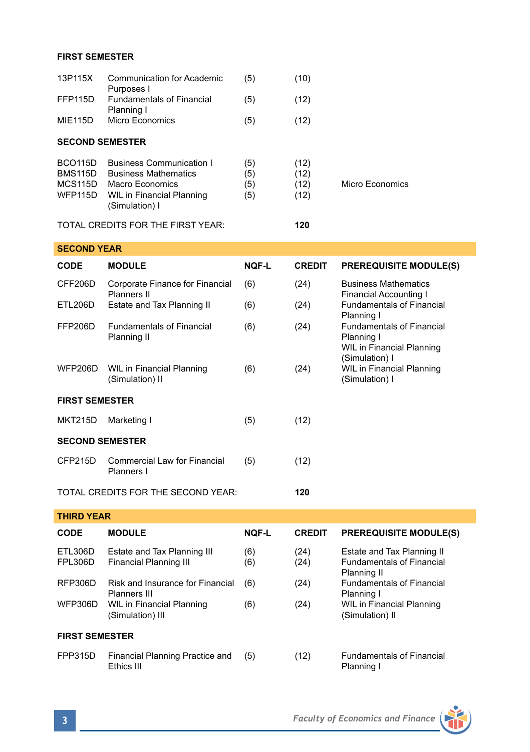## **FIRST SEMESTER**

| 13P115X                                                      | <b>Communication for Academic</b>                                                                                                | (5)                      | (10)                         |                                                                                                                                                                                                |  |  |  |
|--------------------------------------------------------------|----------------------------------------------------------------------------------------------------------------------------------|--------------------------|------------------------------|------------------------------------------------------------------------------------------------------------------------------------------------------------------------------------------------|--|--|--|
| FFP115D                                                      | Purposes I<br><b>Fundamentals of Financial</b>                                                                                   | (5)                      | (12)                         |                                                                                                                                                                                                |  |  |  |
| <b>MIE115D</b>                                               | Planning I<br><b>Micro Economics</b>                                                                                             | (5)                      | (12)                         |                                                                                                                                                                                                |  |  |  |
| <b>SECOND SEMESTER</b>                                       |                                                                                                                                  |                          |                              |                                                                                                                                                                                                |  |  |  |
| BCO <sub>115</sub> D<br><b>BMS115D</b><br>MCS115D<br>WFP115D | <b>Business Communication I</b><br><b>Business Mathematics</b><br>Macro Economics<br>WIL in Financial Planning<br>(Simulation) I | (5)<br>(5)<br>(5)<br>(5) | (12)<br>(12)<br>(12)<br>(12) | <b>Micro Economics</b>                                                                                                                                                                         |  |  |  |
|                                                              | TOTAL CREDITS FOR THE FIRST YEAR:                                                                                                |                          | 120                          |                                                                                                                                                                                                |  |  |  |
| <b>SECOND YEAR</b>                                           |                                                                                                                                  |                          |                              |                                                                                                                                                                                                |  |  |  |
| CODE                                                         | <b>MODULE</b>                                                                                                                    | <b>NOF-L</b>             | <b>CREDIT</b>                | <b>PREREQUISITE MODULE(S)</b>                                                                                                                                                                  |  |  |  |
| CFF206D                                                      | Corporate Finance for Financial<br>Planners II                                                                                   | (6)                      | (24)                         | <b>Business Mathematics</b><br><b>Financial Accounting I</b>                                                                                                                                   |  |  |  |
| ETL206D                                                      | Estate and Tax Planning II                                                                                                       | (6)                      | (24)                         | <b>Fundamentals of Financial</b><br>Planning I<br><b>Fundamentals of Financial</b><br>Planning I<br>WIL in Financial Planning<br>(Simulation) I<br>WIL in Financial Planning<br>(Simulation) I |  |  |  |
| FFP206D                                                      | <b>Fundamentals of Financial</b><br>Planning II                                                                                  | (6)                      | (24)                         |                                                                                                                                                                                                |  |  |  |
| <b>WFP206D</b>                                               | <b>WIL in Financial Planning</b><br>(Simulation) II                                                                              | (6)                      | (24)                         |                                                                                                                                                                                                |  |  |  |
| <b>FIRST SEMESTER</b>                                        |                                                                                                                                  |                          |                              |                                                                                                                                                                                                |  |  |  |
| <b>MKT215D</b>                                               | Marketing I                                                                                                                      | (5)                      | (12)                         |                                                                                                                                                                                                |  |  |  |
| <b>SECOND SEMESTER</b>                                       |                                                                                                                                  |                          |                              |                                                                                                                                                                                                |  |  |  |
| CFP215D                                                      | Commercial Law for Financial<br>Planners I                                                                                       | (5)                      | (12)                         |                                                                                                                                                                                                |  |  |  |
|                                                              | TOTAL CREDITS FOR THE SECOND YEAR:                                                                                               |                          | 120                          |                                                                                                                                                                                                |  |  |  |
| <b>THIRD YEAR</b>                                            |                                                                                                                                  |                          |                              |                                                                                                                                                                                                |  |  |  |
| <b>CODE</b>                                                  | <b>MODULE</b>                                                                                                                    | <b>NOF-L</b>             | <b>CREDIT</b>                | <b>PREREQUISITE MODULE(S)</b>                                                                                                                                                                  |  |  |  |
| ETL306D<br><b>FPL306D</b>                                    | Estate and Tax Planning III<br><b>Financial Planning III</b>                                                                     | (6)<br>(6)               | (24)<br>(24)                 | Estate and Tax Planning II<br><b>Fundamentals of Financial</b>                                                                                                                                 |  |  |  |

RFP306D Risk and Insurance for Financial (6) (24) Fundamental (1) Fundamental (6) Ranning I Planners III **Planning 1**<br>
WIL in Financial Planning (6) (24) WIL in Financial Planning WFP306D WIL in Financial Planning (6) (24) WIL in Financial Planning (6) (34) WIL in Financial Planning (5) (Simulation) III

## **FIRST SEMESTER**

- FPP315D Financial Planning Practice and (5) (12) Fundamentals of Financial<br>
Ethics III Fundamentals of Financial
- Planning II<br>Fundamentals of Financial

Planning I

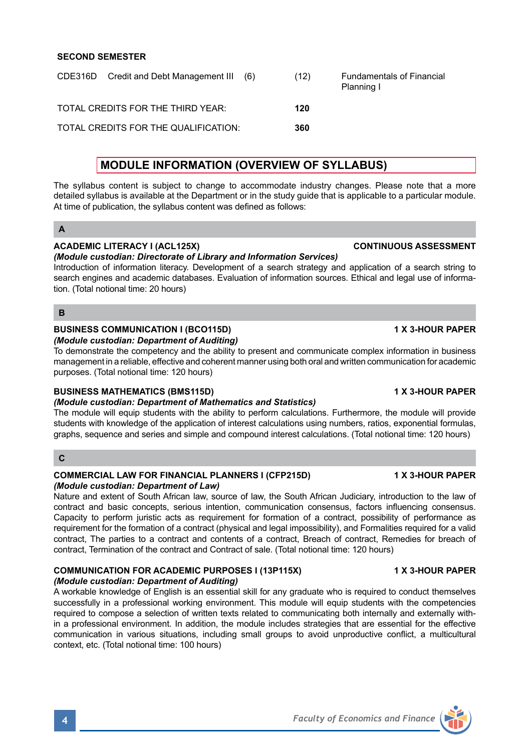## **SECOND SEMESTER**

CDE316D Credit and Debt Management III (6) (12) Fundamentals of Financial Planning I TOTAL CREDITS FOR THE THIRD YEAR: **120** TOTAL CREDITS FOR THE QUALIFICATION: **360**

## **MODULE INFORMATION (OVERVIEW OF SYLLABUS)**

The syllabus content is subject to change to accommodate industry changes. Please note that a more detailed syllabus is available at the Department or in the study guide that is applicable to a particular module. At time of publication, the syllabus content was defined as follows:

## **A**

## **ACADEMIC LITERACY I (ACL125X) CONTINUOUS ASSESSMENT**

## *(Module custodian: Directorate of Library and Information Services)*

Introduction of information literacy. Development of a search strategy and application of a search string to search engines and academic databases. Evaluation of information sources. Ethical and legal use of information. (Total notional time: 20 hours)

### **B**

## **BUSINESS COMMUNICATION I (BCO115D) 1 X 3-HOUR PAPER**

## *(Module custodian: Department of Auditing)*

To demonstrate the competency and the ability to present and communicate complex information in business management in a reliable, effective and coherent manner using both oral and written communication for academic purposes. (Total notional time: 120 hours)

## **BUSINESS MATHEMATICS (BMS115D) 1 X 3-HOUR PAPER**

## *(Module custodian: Department of Mathematics and Statistics)*

The module will equip students with the ability to perform calculations. Furthermore, the module will provide students with knowledge of the application of interest calculations using numbers, ratios, exponential formulas, graphs, sequence and series and simple and compound interest calculations. (Total notional time: 120 hours)

#### **C**

#### **COMMERCIAL LAW FOR FINANCIAL PLANNERS I (CFP215D) 1 X 3-HOUR PAPER** *(Module custodian: Department of Law)*

Nature and extent of South African law, source of law, the South African Judiciary, introduction to the law of contract and basic concepts, serious intention, communication consensus, factors influencing consensus. Capacity to perform juristic acts as requirement for formation of a contract, possibility of performance as requirement for the formation of a contract (physical and legal impossibility), and Formalities required for a valid contract, The parties to a contract and contents of a contract, Breach of contract, Remedies for breach of contract, Termination of the contract and Contract of sale. (Total notional time: 120 hours)

## **COMMUNICATION FOR ACADEMIC PURPOSES I (13P115X) 1 X 3-HOUR PAPER**

## *(Module custodian: Department of Auditing)*

A workable knowledge of English is an essential skill for any graduate who is required to conduct themselves successfully in a professional working environment. This module will equip students with the competencies required to compose a selection of written texts related to communicating both internally and externally within a professional environment. In addition, the module includes strategies that are essential for the effective communication in various situations, including small groups to avoid unproductive conflict, a multicultural context, etc. (Total notional time: 100 hours)

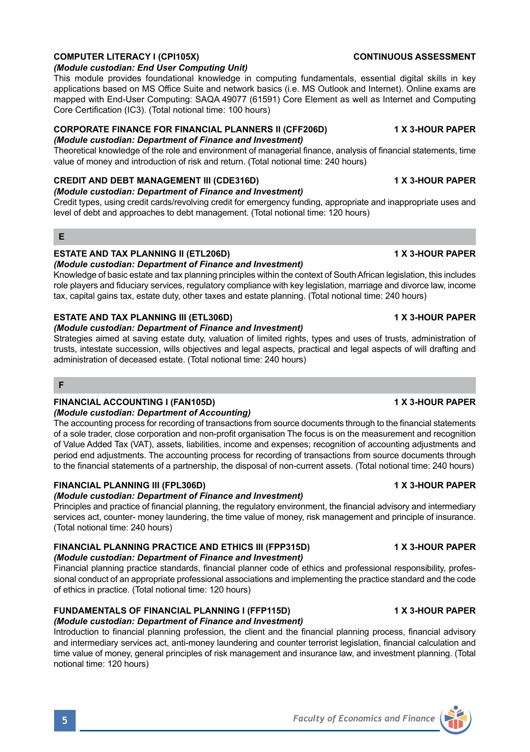## *(Module custodian: End User Computing Unit)*

This module provides foundational knowledge in computing fundamentals, essential digital skills in key applications based on MS Office Suite and network basics (i.e. MS Outlook and Internet). Online exams are mapped with End-User Computing: SAQA 49077 (61591) Core Element as well as Internet and Computing Core Certification (IC3). (Total notional time: 100 hours)

**COMPUTER LITERACY I (CPI105X) CONTINUOUS ASSESSMENT**

## **CORPORATE FINANCE FOR FINANCIAL PLANNERS II (CFF206D) 1 X 3-HOUR PAPER**

## *(Module custodian: Department of Finance and Investment)*

Theoretical knowledge of the role and environment of managerial finance, analysis of financial statements, time value of money and introduction of risk and return. (Total notional time: 240 hours)

## **CREDIT AND DEBT MANAGEMENT III (CDE316D) 1 X 3-HOUR PAPER**

## *(Module custodian: Department of Finance and Investment)*

Credit types, using credit cards/revolving credit for emergency funding, appropriate and inappropriate uses and level of debt and approaches to debt management. (Total notional time: 120 hours)

## **E**

## **ESTATE AND TAX PLANNING II (ETL206D) 1 X 3-HOUR PAPER**

*(Module custodian: Department of Finance and Investment)* Knowledge of basic estate and tax planning principles within the context of South African legislation, this includes role players and fiduciary services, regulatory compliance with key legislation, marriage and divorce law, income tax, capital gains tax, estate duty, other taxes and estate planning. (Total notional time: 240 hours)

## **ESTATE AND TAX PLANNING III (ETL306D) 1 X 3-HOUR PAPER**

## *(Module custodian: Department of Finance and Investment)*

Strategies aimed at saving estate duty, valuation of limited rights, types and uses of trusts, administration of trusts, intestate succession, wills objectives and legal aspects, practical and legal aspects of will drafting and administration of deceased estate. (Total notional time: 240 hours)

## **F**

## **FINANCIAL ACCOUNTING I (FAN105D) 1 X 3-HOUR PAPER**

## *(Module custodian: Department of Accounting)*

The accounting process for recording of transactions from source documents through to the financial statements of a sole trader, close corporation and non-profit organisation The focus is on the measurement and recognition of Value Added Tax (VAT), assets, liabilities, income and expenses; recognition of accounting adjustments and period end adjustments. The accounting process for recording of transactions from source documents through to the financial statements of a partnership, the disposal of non-current assets. (Total notional time: 240 hours)

## **FINANCIAL PLANNING III (FPL306D) 1 X 3-HOUR PAPER**

## *(Module custodian: Department of Finance and Investment)*

Principles and practice of financial planning, the regulatory environment, the financial advisory and intermediary services act, counter- money laundering, the time value of money, risk management and principle of insurance. (Total notional time: 240 hours)

## **FINANCIAL PLANNING PRACTICE AND ETHICS III (FPP315D) 4 X 3-HOUR PAPER** *(Module custodian: Department of Finance and Investment)*

Financial planning practice standards, financial planner code of ethics and professional responsibility, professional conduct of an appropriate professional associations and implementing the practice standard and the code of ethics in practice. (Total notional time: 120 hours)

### **FUNDAMENTALS OF FINANCIAL PLANNING I (FFP115D) 1 X 3-HOUR PAPER** *(Module custodian: Department of Finance and Investment)*

Introduction to financial planning profession, the client and the financial planning process, financial advisory and intermediary services act, anti-money laundering and counter terrorist legislation, financial calculation and time value of money, general principles of risk management and insurance law, and investment planning. (Total notional time: 120 hours)

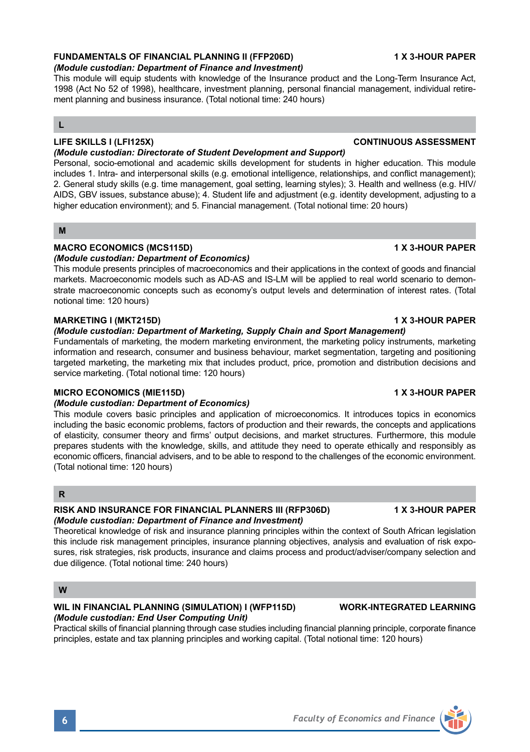## **FUNDAMENTALS OF FINANCIAL PLANNING II (FFP206D) 1 X 3-HOUR PAPER**

## *(Module custodian: Department of Finance and Investment)*

This module will equip students with knowledge of the Insurance product and the Long-Term Insurance Act, 1998 (Act No 52 of 1998), healthcare, investment planning, personal financial management, individual retirement planning and business insurance. (Total notional time: 240 hours)

## **L**

## **LIFE SKILLS I (LFI125X) CONTINUOUS ASSESSMENT**

#### *(Module custodian: Directorate of Student Development and Support)*

Personal, socio-emotional and academic skills development for students in higher education. This module includes 1. Intra- and interpersonal skills (e.g. emotional intelligence, relationships, and conflict management); 2. General study skills (e.g. time management, goal setting, learning styles); 3. Health and wellness (e.g. HIV/ AIDS, GBV issues, substance abuse); 4. Student life and adjustment (e.g. identity development, adjusting to a higher education environment); and 5. Financial management. (Total notional time: 20 hours)

## **M**

## **MACRO ECONOMICS (MCS115D) 1 X 3-HOUR PAPER**

### *(Module custodian: Department of Economics)*

This module presents principles of macroeconomics and their applications in the context of goods and financial markets. Macroeconomic models such as AD-AS and IS-LM will be applied to real world scenario to demonstrate macroeconomic concepts such as economy's output levels and determination of interest rates. (Total notional time: 120 hours)

### **MARKETING I (MKT215D) 1 X 3-HOUR PAPER**

## *(Module custodian: Department of Marketing, Supply Chain and Sport Management)*

Fundamentals of marketing, the modern marketing environment, the marketing policy instruments, marketing information and research, consumer and business behaviour, market segmentation, targeting and positioning targeted marketing, the marketing mix that includes product, price, promotion and distribution decisions and service marketing. (Total notional time: 120 hours)

## **MICRO ECONOMICS (MIE115D) 1 X 3-HOUR PAPER**

## *(Module custodian: Department of Economics)*

This module covers basic principles and application of microeconomics. It introduces topics in economics including the basic economic problems, factors of production and their rewards, the concepts and applications of elasticity, consumer theory and firms' output decisions, and market structures. Furthermore, this module prepares students with the knowledge, skills, and attitude they need to operate ethically and responsibly as economic officers, financial advisers, and to be able to respond to the challenges of the economic environment. (Total notional time: 120 hours)

## **R**

#### **RISK AND INSURANCE FOR FINANCIAL PLANNERS III (RFP306D) 1 X 3-HOUR PAPER** *(Module custodian: Department of Finance and Investment)*

Theoretical knowledge of risk and insurance planning principles within the context of South African legislation this include risk management principles, insurance planning objectives, analysis and evaluation of risk exposures, risk strategies, risk products, insurance and claims process and product/adviser/company selection and due diligence. (Total notional time: 240 hours)

## **W**

## **WIL IN FINANCIAL PLANNING (SIMULATION) I (WFP115D) WORK-INTEGRATED LEARNING**  *(Module custodian: End User Computing Unit)*

Practical skills of financial planning through case studies including financial planning principle, corporate finance principles, estate and tax planning principles and working capital. (Total notional time: 120 hours)